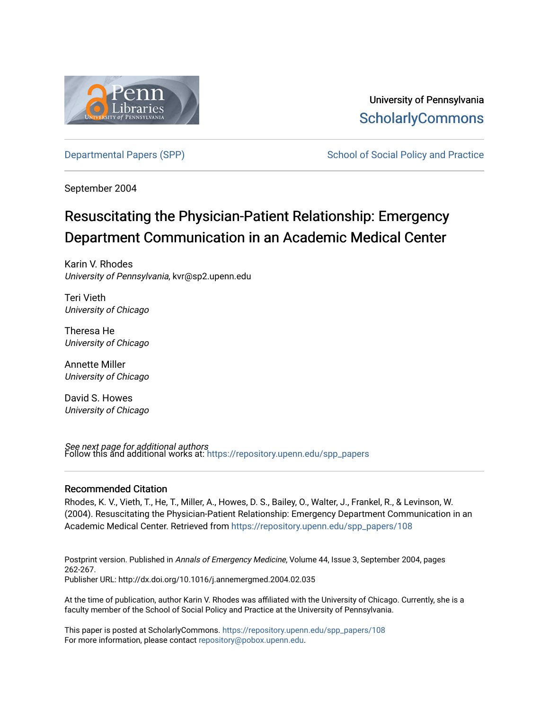

University of Pennsylvania **ScholarlyCommons** 

[Departmental Papers \(SPP\)](https://repository.upenn.edu/spp_papers) The School of Social Policy and Practice

September 2004

## Resuscitating the Physician-Patient Relationship: Emergency Department Communication in an Academic Medical Center

Karin V. Rhodes University of Pennsylvania, kvr@sp2.upenn.edu

Teri Vieth University of Chicago

Theresa He University of Chicago

Annette Miller University of Chicago

David S. Howes University of Chicago

**See next page for additional authors**<br>Follow this and additional works at: https://repository.upenn.edu/spp\_papers

### Recommended Citation

Rhodes, K. V., Vieth, T., He, T., Miller, A., Howes, D. S., Bailey, O., Walter, J., Frankel, R., & Levinson, W. (2004). Resuscitating the Physician-Patient Relationship: Emergency Department Communication in an Academic Medical Center. Retrieved from [https://repository.upenn.edu/spp\\_papers/108](https://repository.upenn.edu/spp_papers/108?utm_source=repository.upenn.edu%2Fspp_papers%2F108&utm_medium=PDF&utm_campaign=PDFCoverPages)

Postprint version. Published in Annals of Emergency Medicine, Volume 44, Issue 3, September 2004, pages 262-267. Publisher URL: http://dx.doi.org/10.1016/j.annemergmed.2004.02.035

At the time of publication, author Karin V. Rhodes was affiliated with the University of Chicago. Currently, she is a faculty member of the School of Social Policy and Practice at the University of Pennsylvania.

This paper is posted at ScholarlyCommons. [https://repository.upenn.edu/spp\\_papers/108](https://repository.upenn.edu/spp_papers/108)  For more information, please contact [repository@pobox.upenn.edu.](mailto:repository@pobox.upenn.edu)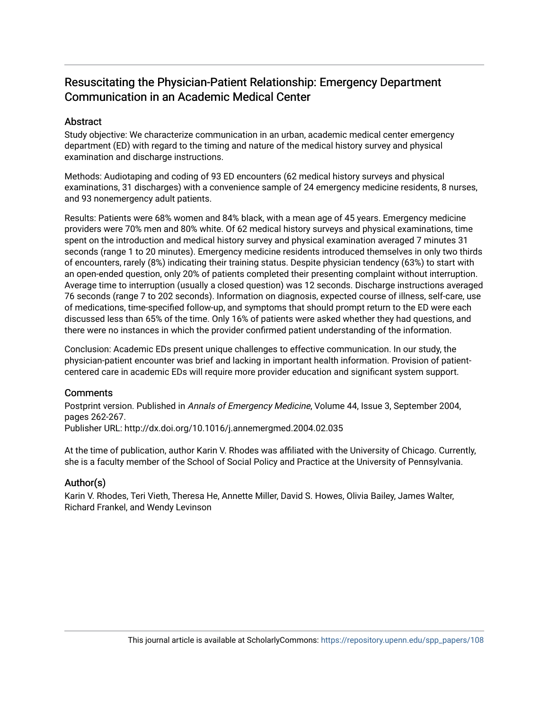## Resuscitating the Physician-Patient Relationship: Emergency Department Communication in an Academic Medical Center

## **Abstract**

Study objective: We characterize communication in an urban, academic medical center emergency department (ED) with regard to the timing and nature of the medical history survey and physical examination and discharge instructions.

Methods: Audiotaping and coding of 93 ED encounters (62 medical history surveys and physical examinations, 31 discharges) with a convenience sample of 24 emergency medicine residents, 8 nurses, and 93 nonemergency adult patients.

Results: Patients were 68% women and 84% black, with a mean age of 45 years. Emergency medicine providers were 70% men and 80% white. Of 62 medical history surveys and physical examinations, time spent on the introduction and medical history survey and physical examination averaged 7 minutes 31 seconds (range 1 to 20 minutes). Emergency medicine residents introduced themselves in only two thirds of encounters, rarely (8%) indicating their training status. Despite physician tendency (63%) to start with an open-ended question, only 20% of patients completed their presenting complaint without interruption. Average time to interruption (usually a closed question) was 12 seconds. Discharge instructions averaged 76 seconds (range 7 to 202 seconds). Information on diagnosis, expected course of illness, self-care, use of medications, time-specified follow-up, and symptoms that should prompt return to the ED were each discussed less than 65% of the time. Only 16% of patients were asked whether they had questions, and there were no instances in which the provider confirmed patient understanding of the information.

Conclusion: Academic EDs present unique challenges to effective communication. In our study, the physician-patient encounter was brief and lacking in important health information. Provision of patientcentered care in academic EDs will require more provider education and significant system support.

## **Comments**

Postprint version. Published in Annals of Emergency Medicine, Volume 44, Issue 3, September 2004, pages 262-267.

Publisher URL: http://dx.doi.org/10.1016/j.annemergmed.2004.02.035

At the time of publication, author Karin V. Rhodes was affiliated with the University of Chicago. Currently, she is a faculty member of the School of Social Policy and Practice at the University of Pennsylvania.

## Author(s)

Karin V. Rhodes, Teri Vieth, Theresa He, Annette Miller, David S. Howes, Olivia Bailey, James Walter, Richard Frankel, and Wendy Levinson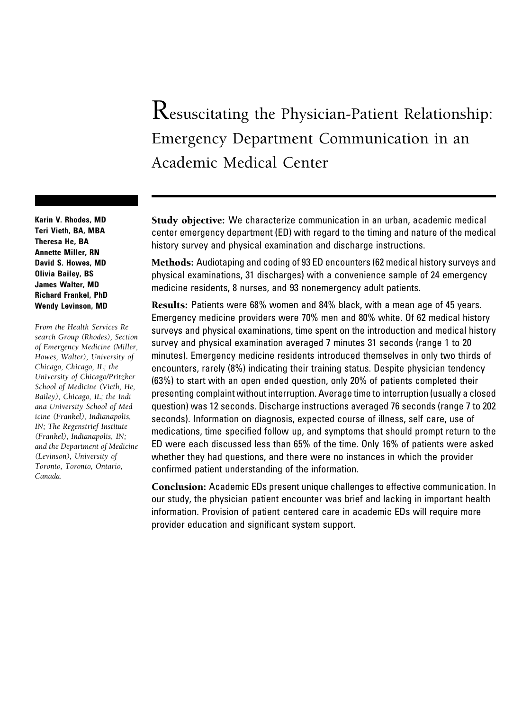# Resuscitating the Physician-Patient Relationship: Emergency Department Communication in an Academic Medical Center

Study objective: We characterize communication in an urban, academic medical center emergency department (ED) with regard to the timing and nature of the medical history survey and physical examination and discharge instructions.

Methods: Audiotaping and coding of 93 ED encounters (62 medical history surveys and physical examinations, 31 discharges) with a convenience sample of 24 emergency medicine residents, 8 nurses, and 93 nonemergency adult patients.

Results: Patients were 68% women and 84% black, with a mean age of 45 years. Emergency medicine providers were 70% men and 80% white. Of 62 medical history surveys and physical examinations, time spent on the introduction and medical history survey and physical examination averaged 7 minutes 31 seconds (range 1 to 20 minutes). Emergency medicine residents introduced themselves in only two thirds of encounters, rarely (8%) indicating their training status. Despite physician tendency (63%) to start with an open ended question, only 20% of patients completed their presenting complaint without interruption. Average time to interruption (usually a closed question) was 12 seconds. Discharge instructions averaged 76 seconds (range 7 to 202 seconds). Information on diagnosis, expected course of illness, self care, use of medications, time specified follow up, and symptoms that should prompt return to the ED were each discussed less than 65% of the time. Only 16% of patients were asked whether they had questions, and there were no instances in which the provider confirmed patient understanding of the information.

Conclusion: Academic EDs present unique challenges to effective communication. In our study, the physician patient encounter was brief and lacking in important health information. Provision of patient centered care in academic EDs will require more provider education and significant system support.

Karin V. Rhodes, MD Teri Vieth, BA, MBA Theresa He, BA Annette Miller, RN David S. Howes, MD Olivia Bailey, BS James Walter, MD Richard Frankel, PhD Wendy Levinson, MD

From the Health Services Re search Group (Rhodes), Section of Emergency Medicine (Miller, Howes, Walter), University of Chicago, Chicago, IL; the University of Chicago/Pritzker School of Medicine (Vieth, He, Bailey), Chicago, IL; the Indi ana University School of Med icine (Frankel), Indianapolis, IN; The Regenstrief Institute (Frankel), Indianapolis, IN; and the Department of Medicine (Levinson), University of Toronto, Toronto, Ontario, Canada.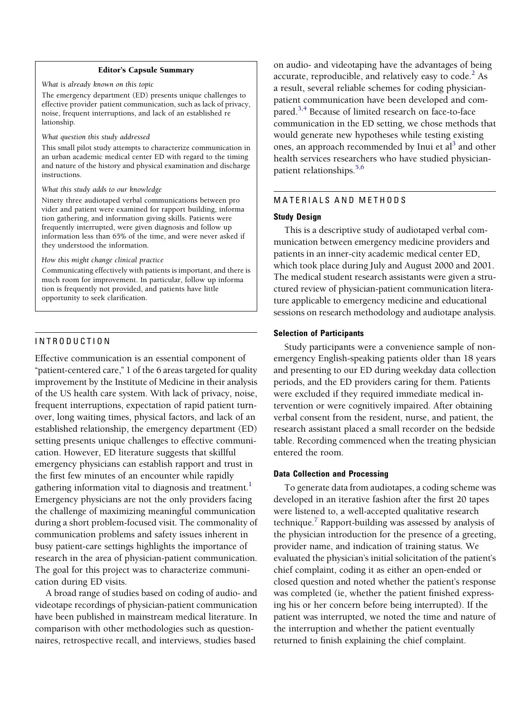#### Editor's Capsule Summary

What is already known on this topic

The emergency department (ED) presents unique challenges to effective provider patient communication, such as lack of privacy, noise, frequent interruptions, and lack of an established re lationship.

What question this study addressed

This small pilot study attempts to characterize communication in an urban academic medical center ED with regard to the timing and nature of the history and physical examination and discharge instructions.

#### What this study adds to our knowledge

Ninety three audiotaped verbal communications between pro vider and patient were examined for rapport building, informa tion gathering, and information giving skills. Patients were frequently interrupted, were given diagnosis and follow up information less than 65% of the time, and were never asked if they understood the information.

How this might change clinical practice

Communicating effectively with patients is important, and there is much room for improvement. In particular, follow up informa tion is frequently not provided, and patients have little opportunity to seek clarification.

#### INTRODUCTION

Effective communication is an essential component of "patient-centered care," 1 of the 6 areas targeted for quality improvement by the Institute of Medicine in their analysis of the US health care system. With lack of privacy, noise, frequent interruptions, expectation of rapid patient turnover, long waiting times, physical factors, and lack of an established relationship, the emergency department (ED) setting presents unique challenges to effective communication. However, ED literature suggests that skillful emergency physicians can establish rapport and trust in the first few minutes of an encounter while rapidly gathering information vital to diagnosis and treatment.<sup>[1](#page-7-0)</sup> Emergency physicians are not the only providers facing the challenge of maximizing meaningful communication during a short problem-focused visit. The commonality of communication problems and safety issues inherent in busy patient-care settings highlights the importance of research in the area of physician-patient communication. The goal for this project was to characterize communication during ED visits.

A broad range of studies based on coding of audio- and videotape recordings of physician-patient communication have been published in mainstream medical literature. In comparison with other methodologies such as questionnaires, retrospective recall, and interviews, studies based

on audio- and videotaping have the advantages of being accurate, reproducible, and relatively easy to  $code.^2$  As a result, several reliable schemes for coding physicianpatient communication have been developed and compared.<sup>3,4</sup> Because of limited research on face-to-face communication in the ED setting, we chose methods that would generate new hypotheses while testing existing ones, an approach recommended by Inui et  $al<sup>3</sup>$  and other health services researchers who have studied physicianpatient relationships. $5,6$ 

#### MATERIALS AND METHODS

#### Study Design

This is a descriptive study of audiotaped verbal communication between emergency medicine providers and patients in an inner-city academic medical center ED, which took place during July and August 2000 and 2001. The medical student research assistants were given a structured review of physician-patient communication literature applicable to emergency medicine and educational sessions on research methodology and audiotape analysis.

#### Selection of Participants

Study participants were a convenience sample of nonemergency English-speaking patients older than 18 years and presenting to our ED during weekday data collection periods, and the ED providers caring for them. Patients were excluded if they required immediate medical intervention or were cognitively impaired. After obtaining verbal consent from the resident, nurse, and patient, the research assistant placed a small recorder on the bedside table. Recording commenced when the treating physician entered the room.

#### Data Collection and Processing

To generate data from audiotapes, a coding scheme was developed in an iterative fashion after the first 20 tapes were listened to, a well-accepted qualitative research technique[.7](#page-7-0) Rapport-building was assessed by analysis of the physician introduction for the presence of a greeting, provider name, and indication of training status. We evaluated the physician's initial solicitation of the patient's chief complaint, coding it as either an open-ended or closed question and noted whether the patient's response was completed (ie, whether the patient finished expressing his or her concern before being interrupted). If the patient was interrupted, we noted the time and nature of the interruption and whether the patient eventually returned to finish explaining the chief complaint.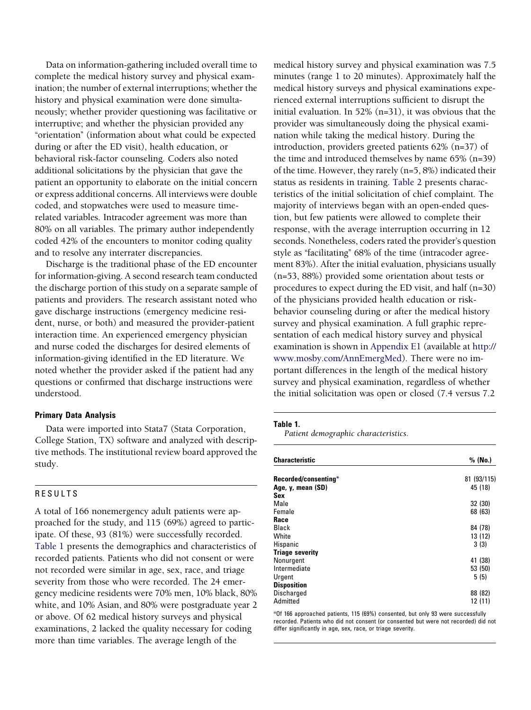Data on information-gathering included overall time to complete the medical history survey and physical examination; the number of external interruptions; whether the history and physical examination were done simultaneously; whether provider questioning was facilitative or interruptive; and whether the physician provided any ''orientation'' (information about what could be expected during or after the ED visit), health education, or behavioral risk-factor counseling. Coders also noted additional solicitations by the physician that gave the patient an opportunity to elaborate on the initial concern or express additional concerns. All interviews were double coded, and stopwatches were used to measure timerelated variables. Intracoder agreement was more than 80% on all variables. The primary author independently coded 42% of the encounters to monitor coding quality and to resolve any interrater discrepancies.

Discharge is the traditional phase of the ED encounter for information-giving. A second research team conducted the discharge portion of this study on a separate sample of patients and providers. The research assistant noted who gave discharge instructions (emergency medicine resident, nurse, or both) and measured the provider-patient interaction time. An experienced emergency physician and nurse coded the discharges for desired elements of information-giving identified in the ED literature. We noted whether the provider asked if the patient had any questions or confirmed that discharge instructions were understood.

#### Primary Data Analysis

Data were imported into Stata7 (Stata Corporation, College Station, TX) software and analyzed with descriptive methods. The institutional review board approved the study.

#### RESULTS

A total of 166 nonemergency adult patients were approached for the study, and 115 (69%) agreed to participate. Of these, 93 (81%) were successfully recorded. Table 1 presents the demographics and characteristics of recorded patients. Patients who did not consent or were not recorded were similar in age, sex, race, and triage severity from those who were recorded. The 24 emergency medicine residents were 70% men, 10% black, 80% white, and 10% Asian, and 80% were postgraduate year 2 or above. Of 62 medical history surveys and physical examinations, 2 lacked the quality necessary for coding more than time variables. The average length of the

medical history survey and physical examination was 7.5 minutes (range 1 to 20 minutes). Approximately half the medical history surveys and physical examinations experienced external interruptions sufficient to disrupt the initial evaluation. In 52% (n=31), it was obvious that the provider was simultaneously doing the physical examination while taking the medical history. During the introduction, providers greeted patients 62% (n=37) of the time and introduced themselves by name 65% (n=39) of the time. However, they rarely (n=5, 8%) indicated their status as residents in training. [Table 2](#page-5-0) presents characteristics of the initial solicitation of chief complaint. The majority of interviews began with an open-ended question, but few patients were allowed to complete their response, with the average interruption occurring in 12 seconds. Nonetheless, coders rated the provider's question style as "facilitating" 68% of the time (intracoder agreement 83%). After the initial evaluation, physicians usually (n=53, 88%) provided some orientation about tests or procedures to expect during the ED visit, and half (n=30) of the physicians provided health education or riskbehavior counseling during or after the medical history survey and physical examination. A full graphic representation of each medical history survey and physical examination is shown in Appendix E1 (available at [http://](http://www.mosby.com/AnnEmergMed) [www.mosby.com/AnnEmergMed\)](http://www.mosby.com/AnnEmergMed). There were no important differences in the length of the medical history survey and physical examination, regardless of whether the initial solicitation was open or closed (7.4 versus 7.2

#### Table 1.

Patient demographic characteristics.

| <b>Characteristic</b>  | % (No.)     |
|------------------------|-------------|
| Recorded/consenting*   | 81 (93/115) |
| Age, y, mean (SD)      | 45 (18)     |
| Sex                    |             |
| Male                   | 32 (30)     |
| Female                 | 68 (63)     |
| Race                   |             |
| <b>Black</b>           | 84 (78)     |
| White                  | 13 (12)     |
| Hispanic               | 3(3)        |
| <b>Triage severity</b> |             |
| Nonurgent              | 41 (38)     |
| Intermediate           | 53 (50)     |
| Urgent                 | 5(5)        |
| <b>Disposition</b>     |             |
| <b>Discharged</b>      | 88 (82)     |
| Admitted               | 12 (11)     |

\*Of 166 approached patients, 115 (69%) consented, but only 93 were successfully recorded. Patients who did not consent (or consented but were not recorded) did not differ significantly in age, sex, race, or triage severity.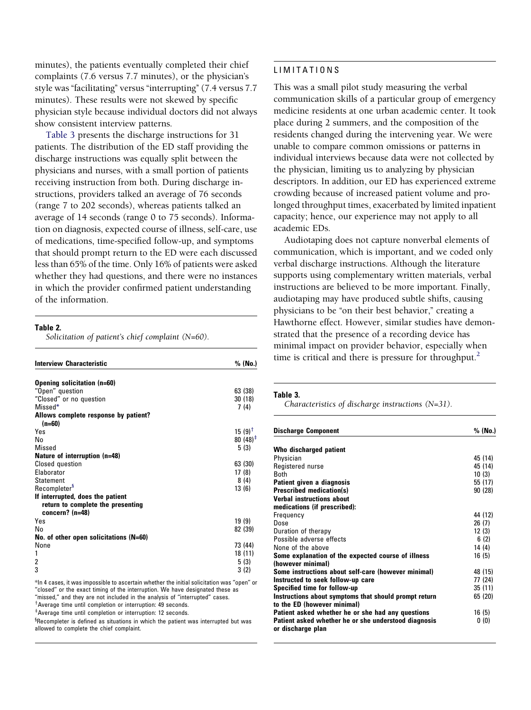<span id="page-5-0"></span>minutes), the patients eventually completed their chief complaints (7.6 versus 7.7 minutes), or the physician's style was "facilitating" versus "interrupting" (7.4 versus 7.7) minutes). These results were not skewed by specific physician style because individual doctors did not always show consistent interview patterns.

Table 3 presents the discharge instructions for 31 patients. The distribution of the ED staff providing the discharge instructions was equally split between the physicians and nurses, with a small portion of patients receiving instruction from both. During discharge instructions, providers talked an average of 76 seconds (range 7 to 202 seconds), whereas patients talked an average of 14 seconds (range 0 to 75 seconds). Information on diagnosis, expected course of illness, self-care, use of medications, time-specified follow-up, and symptoms that should prompt return to the ED were each discussed less than 65% of the time. Only 16% of patients were asked whether they had questions, and there were no instances in which the provider confirmed patient understanding of the information.

#### Table 2.

Solicitation of patient's chief complaint (N=60).

| <b>Interview Characteristic</b>                                                          | % (No.)     |
|------------------------------------------------------------------------------------------|-------------|
| Opening solicitation (n=60)                                                              |             |
| "Open" question                                                                          | 63 (38)     |
| "Closed" or no question                                                                  | 30(18)      |
| Missed*                                                                                  | 7 (4)       |
| Allows complete response by patient?<br>$(n=60)$                                         |             |
| Yes                                                                                      | $15(9)^{T}$ |
| No                                                                                       | $80(48)^+$  |
| Missed                                                                                   | 5 (3)       |
| Nature of interruption (n=48)                                                            |             |
| <b>Closed question</b>                                                                   | 63 (30)     |
| Elaborator                                                                               | 17 (8)      |
| <b>Statement</b>                                                                         | 8(4)        |
| Recompleter <sup>3</sup>                                                                 | 13(6)       |
| If interrupted, does the patient<br>return to complete the presenting<br>concern? (n=48) |             |
| Yes                                                                                      | 19 (9)      |
| No                                                                                       | 82 (39)     |
| No. of other open solicitations (N=60)                                                   |             |
| None                                                                                     | 73 (44)     |
| 1                                                                                        | 18 (11)     |
| 2                                                                                        | 5 (3)       |
| 3                                                                                        | 3(2)        |
|                                                                                          |             |

 $^{\ast}$ In 4 cases, it was impossible to ascertain whether the initial solicitation was "open" or "closed" or the exact timing of the interruption. We have designated these as "missed," and they are not included in the analysis of "interrupted" cases. <sup>†</sup> Average time until completion or interruption: 49 seconds.

\*Average time until completion or interruption: 12 seconds.

 ${}^{\S}$ Recompleter is defined as situations in which the patient was interrupted but was allowed to complete the chief complaint.

#### LIMITATIONS

This was a small pilot study measuring the verbal communication skills of a particular group of emergency medicine residents at one urban academic center. It took place during 2 summers, and the composition of the residents changed during the intervening year. We were unable to compare common omissions or patterns in individual interviews because data were not collected by the physician, limiting us to analyzing by physician descriptors. In addition, our ED has experienced extreme crowding because of increased patient volume and prolonged throughput times, exacerbated by limited inpatient capacity; hence, our experience may not apply to all academic EDs.

Audiotaping does not capture nonverbal elements of communication, which is important, and we coded only verbal discharge instructions. Although the literature supports using complementary written materials, verbal instructions are believed to be more important. Finally, audiotaping may have produced subtle shifts, causing physicians to be "on their best behavior," creating a Hawthorne effect. However, similar studies have demonstrated that the presence of a recording device has minimal impact on provider behavior, especially when time is critical and there is pressure for throughput.<sup>2</sup>

#### Table 3.

Characteristics of discharge instructions (N=31).

| <b>Discharge Component</b>                            | % (No.) |
|-------------------------------------------------------|---------|
| Who discharged patient                                |         |
| Physician                                             | 45 (14) |
| Registered nurse                                      | 45 (14) |
| <b>B</b> <sub>oth</sub>                               | 10(3)   |
| Patient given a diagnosis                             | 55 (17) |
| <b>Prescribed medication(s)</b>                       | 90(28)  |
| <b>Verbal instructions about</b>                      |         |
| medications (if prescribed):                          |         |
| Frequency                                             | 44 (12) |
| Dose                                                  | 26(7)   |
| Duration of therapy                                   | 12(3)   |
| Possible adverse effects                              | 6(2)    |
| None of the above                                     | 14 (4)  |
| Some explanation of the expected course of illness    | 16(5)   |
| (however minimal)                                     |         |
| Some instructions about self-care (however minimal)   | 48 (15) |
| Instructed to seek follow-up care                     | 77 (24) |
| Specified time for follow-up                          | 35 (11) |
| Instructions about symptoms that should prompt return | 65 (20) |
| to the ED (however minimal)                           |         |
| Patient asked whether he or she had any questions     | 16 (5)  |
| Patient asked whether he or she understood diagnosis  | 0(0)    |
| or discharge plan                                     |         |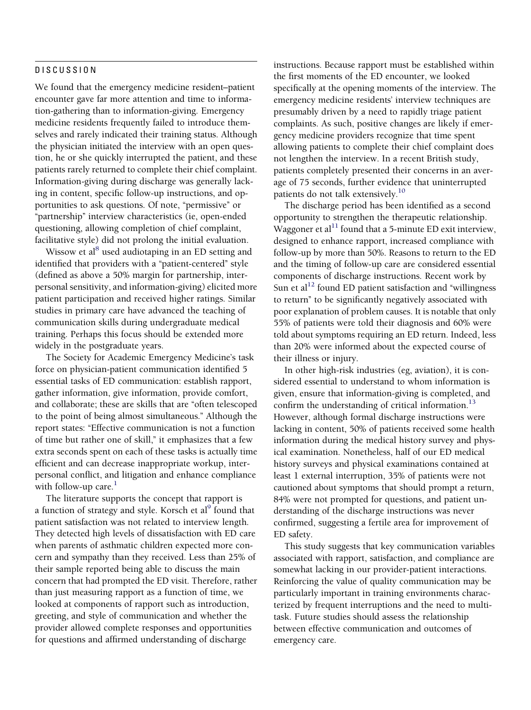#### DISCUSSION

We found that the emergency medicine resident–patient encounter gave far more attention and time to information-gathering than to information-giving. Emergency medicine residents frequently failed to introduce themselves and rarely indicated their training status. Although the physician initiated the interview with an open question, he or she quickly interrupted the patient, and these patients rarely returned to complete their chief complaint. Information-giving during discharge was generally lacking in content, specific follow-up instructions, and opportunities to ask questions. Of note, "permissive" or "partnership" interview characteristics (ie, open-ended questioning, allowing completion of chief complaint, facilitative style) did not prolong the initial evaluation.

Wissow et al<sup>8</sup> used audiotaping in an ED setting and identified that providers with a "patient-centered" style (defined as above a 50% margin for partnership, interpersonal sensitivity, and information-giving) elicited more patient participation and received higher ratings. Similar studies in primary care have advanced the teaching of communication skills during undergraduate medical training. Perhaps this focus should be extended more widely in the postgraduate years.

The Society for Academic Emergency Medicine's task force on physician-patient communication identified 5 essential tasks of ED communication: establish rapport, gather information, give information, provide comfort, and collaborate; these are skills that are ''often telescoped to the point of being almost simultaneous.'' Although the report states: "Effective communication is not a function of time but rather one of skill," it emphasizes that a few extra seconds spent on each of these tasks is actually time efficient and can decrease inappropriate workup, interpersonal conflict, and litigation and enhance compliance with follow-up care. $<sup>1</sup>$ </sup>

The literature supports the concept that rapport is a function of strategy and style. Korsch et al<sup>9</sup> found that patient satisfaction was not related to interview length. They detected high levels of dissatisfaction with ED care when parents of asthmatic children expected more concern and sympathy than they received. Less than 25% of their sample reported being able to discuss the main concern that had prompted the ED visit. Therefore, rather than just measuring rapport as a function of time, we looked at components of rapport such as introduction, greeting, and style of communication and whether the provider allowed complete responses and opportunities for questions and affirmed understanding of discharge

instructions. Because rapport must be established within the first moments of the ED encounter, we looked specifically at the opening moments of the interview. The emergency medicine residents' interview techniques are presumably driven by a need to rapidly triage patient complaints. As such, positive changes are likely if emergency medicine providers recognize that time spent allowing patients to complete their chief complaint does not lengthen the interview. In a recent British study, patients completely presented their concerns in an average of 75 seconds, further evidence that uninterrupted patients do not talk extensively.[10](#page-7-0)

The discharge period has been identified as a second opportunity to strengthen the therapeutic relationship. Waggoner et al<sup>11</sup> found that a 5-minute ED exit interview, designed to enhance rapport, increased compliance with follow-up by more than 50%. Reasons to return to the ED and the timing of follow-up care are considered essential components of discharge instructions. Recent work by Sun et al<sup>[12](#page-7-0)</sup> found ED patient satisfaction and "willingness" to return'' to be significantly negatively associated with poor explanation of problem causes. It is notable that only 55% of patients were told their diagnosis and 60% were told about symptoms requiring an ED return. Indeed, less than 20% were informed about the expected course of their illness or injury.

In other high-risk industries (eg, aviation), it is considered essential to understand to whom information is given, ensure that information-giving is completed, and confirm the understanding of critical information.<sup>13</sup> However, although formal discharge instructions were lacking in content, 50% of patients received some health information during the medical history survey and physical examination. Nonetheless, half of our ED medical history surveys and physical examinations contained at least 1 external interruption, 35% of patients were not cautioned about symptoms that should prompt a return, 84% were not prompted for questions, and patient understanding of the discharge instructions was never confirmed, suggesting a fertile area for improvement of ED safety.

This study suggests that key communication variables associated with rapport, satisfaction, and compliance are somewhat lacking in our provider-patient interactions. Reinforcing the value of quality communication may be particularly important in training environments characterized by frequent interruptions and the need to multitask. Future studies should assess the relationship between effective communication and outcomes of emergency care.